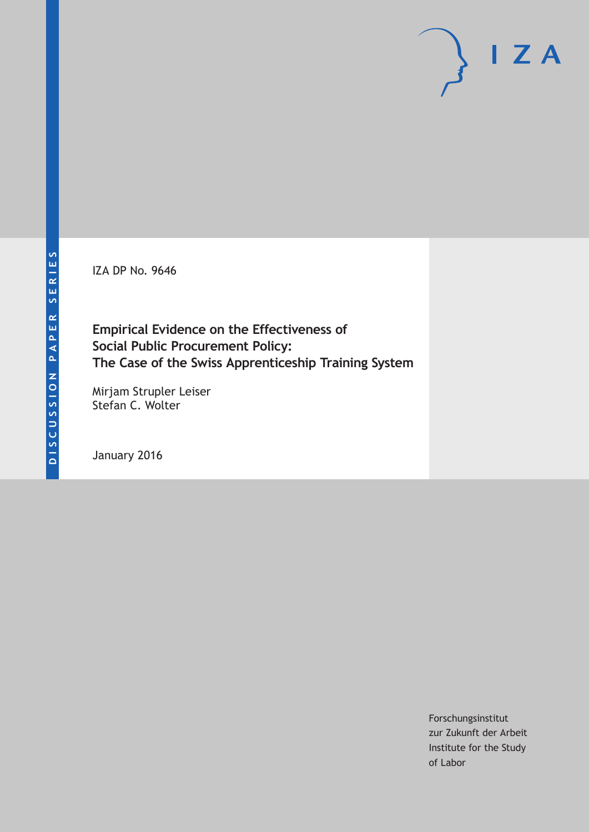IZA DP No. 9646

# **Empirical Evidence on the Effectiveness of Social Public Procurement Policy: The Case of the Swiss Apprenticeship Training System**

Mirjam Strupler Leiser Stefan C. Wolter

January 2016

Forschungsinstitut zur Zukunft der Arbeit Institute for the Study of Labor

 $I Z A$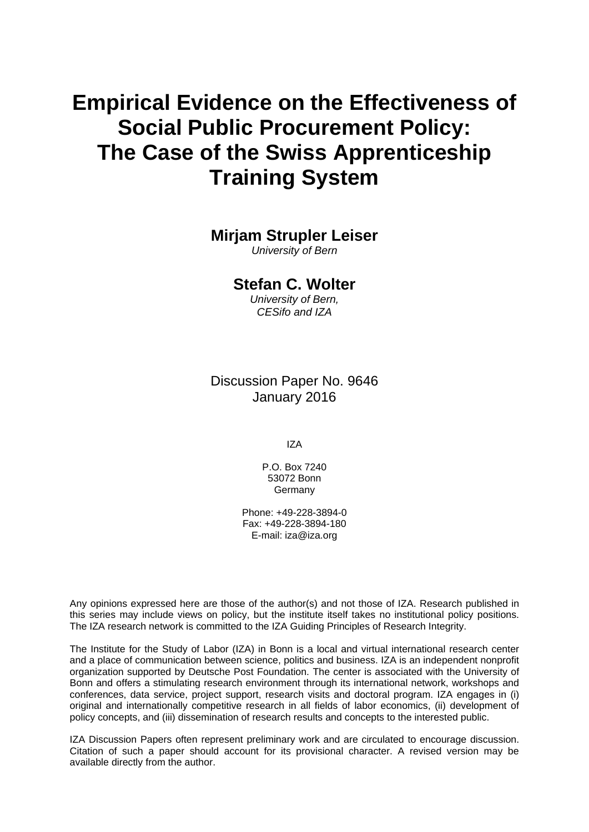# **Empirical Evidence on the Effectiveness of Social Public Procurement Policy: The Case of the Swiss Apprenticeship Training System**

## **Mirjam Strupler Leiser**

*University of Bern* 

### **Stefan C. Wolter**

*University of Bern, CESifo and IZA* 

Discussion Paper No. 9646 January 2016

IZA

P.O. Box 7240 53072 Bonn Germany

Phone: +49-228-3894-0 Fax: +49-228-3894-180 E-mail: iza@iza.org

Any opinions expressed here are those of the author(s) and not those of IZA. Research published in this series may include views on policy, but the institute itself takes no institutional policy positions. The IZA research network is committed to the IZA Guiding Principles of Research Integrity.

The Institute for the Study of Labor (IZA) in Bonn is a local and virtual international research center and a place of communication between science, politics and business. IZA is an independent nonprofit organization supported by Deutsche Post Foundation. The center is associated with the University of Bonn and offers a stimulating research environment through its international network, workshops and conferences, data service, project support, research visits and doctoral program. IZA engages in (i) original and internationally competitive research in all fields of labor economics, (ii) development of policy concepts, and (iii) dissemination of research results and concepts to the interested public.

IZA Discussion Papers often represent preliminary work and are circulated to encourage discussion. Citation of such a paper should account for its provisional character. A revised version may be available directly from the author.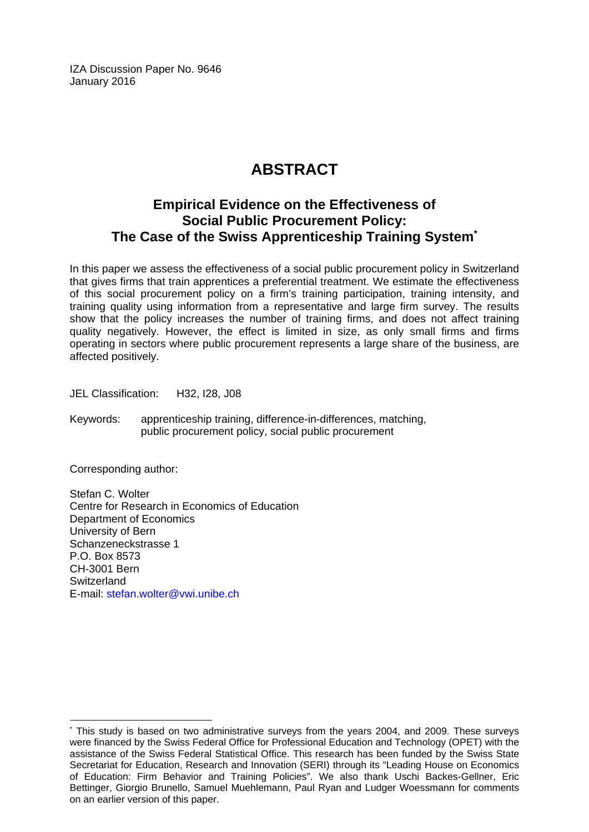IZA Discussion Paper No. 9646 January 2016

# **ABSTRACT**

### **Empirical Evidence on the Effectiveness of Social Public Procurement Policy: The Case of the Swiss Apprenticeship Training System\***

In this paper we assess the effectiveness of a social public procurement policy in Switzerland that gives firms that train apprentices a preferential treatment. We estimate the effectiveness of this social procurement policy on a firm's training participation, training intensity, and training quality using information from a representative and large firm survey. The results show that the policy increases the number of training firms, and does not affect training quality negatively. However, the effect is limited in size, as only small firms and firms operating in sectors where public procurement represents a large share of the business, are affected positively.

JEL Classification: H32, I28, J08

Keywords: apprenticeship training, difference-in-differences, matching, public procurement policy, social public procurement

Corresponding author:

 $\overline{a}$ 

Stefan C. Wolter Centre for Research in Economics of Education Department of Economics University of Bern Schanzeneckstrasse 1 P.O. Box 8573 CH-3001 Bern **Switzerland** E-mail: stefan.wolter@vwi.unibe.ch

<sup>\*</sup> This study is based on two administrative surveys from the years 2004, and 2009. These surveys were financed by the Swiss Federal Office for Professional Education and Technology (OPET) with the assistance of the Swiss Federal Statistical Office. This research has been funded by the Swiss State Secretariat for Education, Research and Innovation (SERI) through its "Leading House on Economics of Education: Firm Behavior and Training Policies". We also thank Uschi Backes-Gellner, Eric Bettinger, Giorgio Brunello, Samuel Muehlemann, Paul Ryan and Ludger Woessmann for comments on an earlier version of this paper.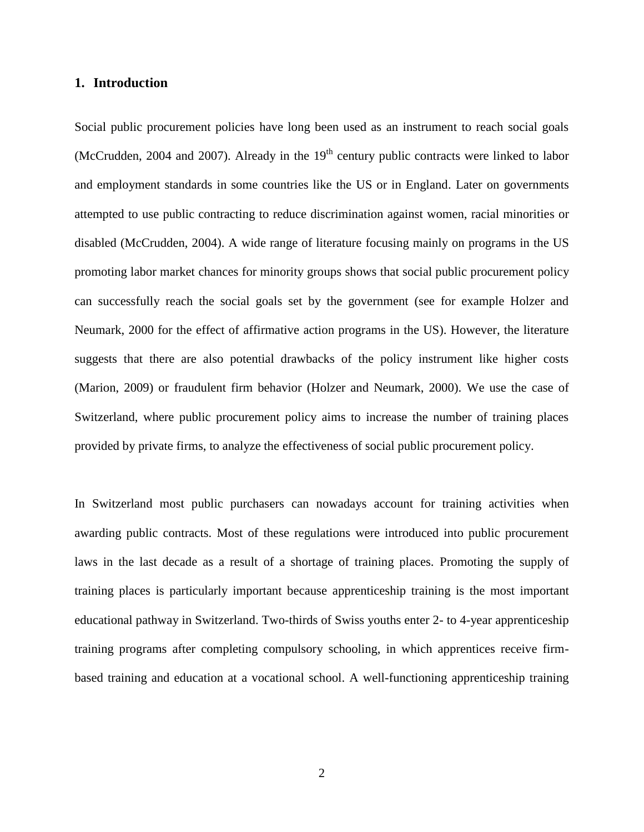#### **1. Introduction**

Social public procurement policies have long been used as an instrument to reach social goals (McCrudden, 2004 and 2007). Already in the  $19<sup>th</sup>$  century public contracts were linked to labor and employment standards in some countries like the US or in England. Later on governments attempted to use public contracting to reduce discrimination against women, racial minorities or disabled (McCrudden, 2004). A wide range of literature focusing mainly on programs in the US promoting labor market chances for minority groups shows that social public procurement policy can successfully reach the social goals set by the government (see for example Holzer and Neumark, 2000 for the effect of affirmative action programs in the US). However, the literature suggests that there are also potential drawbacks of the policy instrument like higher costs (Marion, 2009) or fraudulent firm behavior (Holzer and Neumark, 2000). We use the case of Switzerland, where public procurement policy aims to increase the number of training places provided by private firms, to analyze the effectiveness of social public procurement policy.

In Switzerland most public purchasers can nowadays account for training activities when awarding public contracts. Most of these regulations were introduced into public procurement laws in the last decade as a result of a shortage of training places. Promoting the supply of training places is particularly important because apprenticeship training is the most important educational pathway in Switzerland. Two-thirds of Swiss youths enter 2- to 4-year apprenticeship training programs after completing compulsory schooling, in which apprentices receive firmbased training and education at a vocational school. A well-functioning apprenticeship training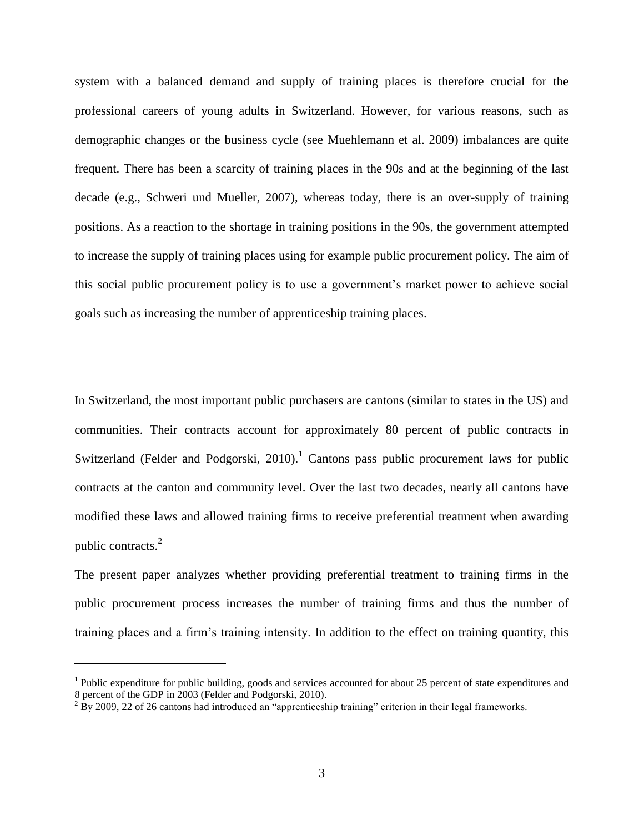system with a balanced demand and supply of training places is therefore crucial for the professional careers of young adults in Switzerland. However, for various reasons, such as demographic changes or the business cycle (see Muehlemann et al. 2009) imbalances are quite frequent. There has been a scarcity of training places in the 90s and at the beginning of the last decade (e.g., Schweri und Mueller, 2007), whereas today, there is an over-supply of training positions. As a reaction to the shortage in training positions in the 90s, the government attempted to increase the supply of training places using for example public procurement policy. The aim of this social public procurement policy is to use a government's market power to achieve social goals such as increasing the number of apprenticeship training places.

In Switzerland, the most important public purchasers are cantons (similar to states in the US) and communities. Their contracts account for approximately 80 percent of public contracts in Switzerland (Felder and Podgorski, 2010).<sup>1</sup> Cantons pass public procurement laws for public contracts at the canton and community level. Over the last two decades, nearly all cantons have modified these laws and allowed training firms to receive preferential treatment when awarding public contracts.<sup>2</sup>

The present paper analyzes whether providing preferential treatment to training firms in the public procurement process increases the number of training firms and thus the number of training places and a firm's training intensity. In addition to the effect on training quantity, this

<u>.</u>

<sup>&</sup>lt;sup>1</sup> Public expenditure for public building, goods and services accounted for about 25 percent of state expenditures and 8 percent of the GDP in 2003 (Felder and Podgorski, 2010).

 $2^{2}$  By 2009, 22 of 26 cantons had introduced an "apprenticeship training" criterion in their legal frameworks.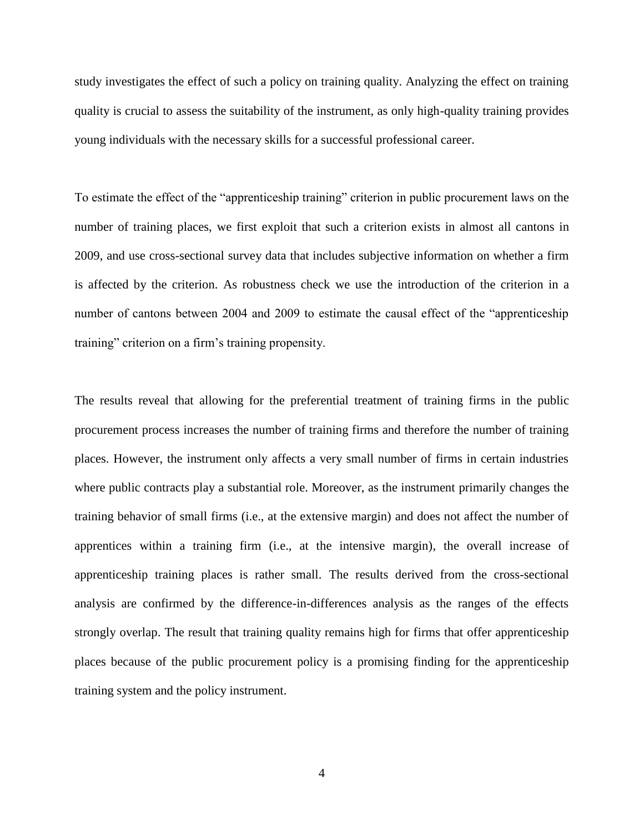study investigates the effect of such a policy on training quality. Analyzing the effect on training quality is crucial to assess the suitability of the instrument, as only high-quality training provides young individuals with the necessary skills for a successful professional career.

To estimate the effect of the "apprenticeship training" criterion in public procurement laws on the number of training places, we first exploit that such a criterion exists in almost all cantons in 2009, and use cross-sectional survey data that includes subjective information on whether a firm is affected by the criterion. As robustness check we use the introduction of the criterion in a number of cantons between 2004 and 2009 to estimate the causal effect of the "apprenticeship training" criterion on a firm's training propensity.

The results reveal that allowing for the preferential treatment of training firms in the public procurement process increases the number of training firms and therefore the number of training places. However, the instrument only affects a very small number of firms in certain industries where public contracts play a substantial role. Moreover, as the instrument primarily changes the training behavior of small firms (i.e., at the extensive margin) and does not affect the number of apprentices within a training firm (i.e., at the intensive margin), the overall increase of apprenticeship training places is rather small. The results derived from the cross-sectional analysis are confirmed by the difference-in-differences analysis as the ranges of the effects strongly overlap. The result that training quality remains high for firms that offer apprenticeship places because of the public procurement policy is a promising finding for the apprenticeship training system and the policy instrument.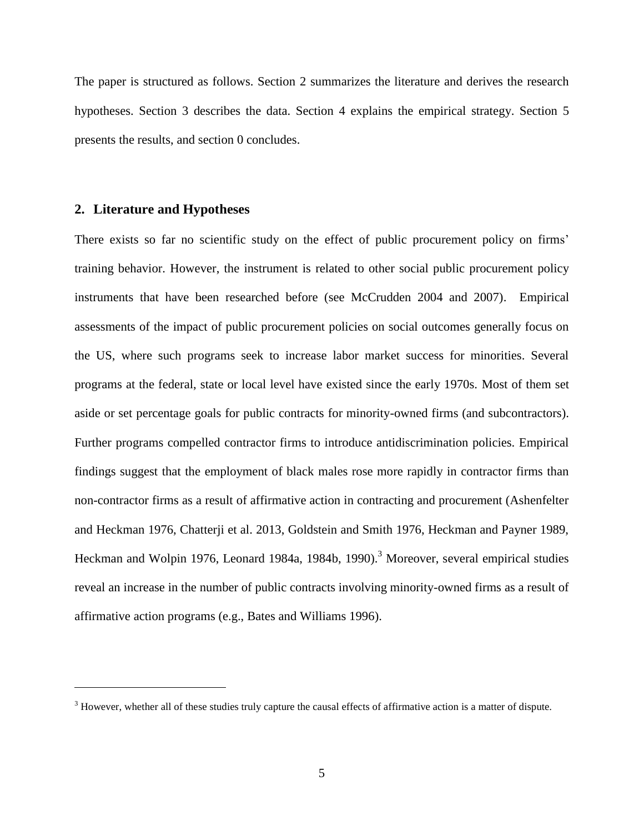The paper is structured as follows. Section 2 summarizes the literature and derives the research hypotheses. Section 3 describes the data. Section 4 explains the empirical strategy. Section 5 presents the results, and section [0](#page-28-0) concludes.

#### **2. Literature and Hypotheses**

1

There exists so far no scientific study on the effect of public procurement policy on firms' training behavior. However, the instrument is related to other social public procurement policy instruments that have been researched before (see McCrudden 2004 and 2007). Empirical assessments of the impact of public procurement policies on social outcomes generally focus on the US, where such programs seek to increase labor market success for minorities. Several programs at the federal, state or local level have existed since the early 1970s. Most of them set aside or set percentage goals for public contracts for minority-owned firms (and subcontractors). Further programs compelled contractor firms to introduce antidiscrimination policies. Empirical findings suggest that the employment of black males rose more rapidly in contractor firms than non-contractor firms as a result of affirmative action in contracting and procurement (Ashenfelter and Heckman 1976, Chatterji et al. 2013, Goldstein and Smith 1976, Heckman and Payner 1989, Heckman and Wolpin 1976, Leonard 1984a, 1984b, 1990).<sup>3</sup> Moreover, several empirical studies reveal an increase in the number of public contracts involving minority-owned firms as a result of affirmative action programs (e.g., Bates and Williams 1996).

 $3$  However, whether all of these studies truly capture the causal effects of affirmative action is a matter of dispute.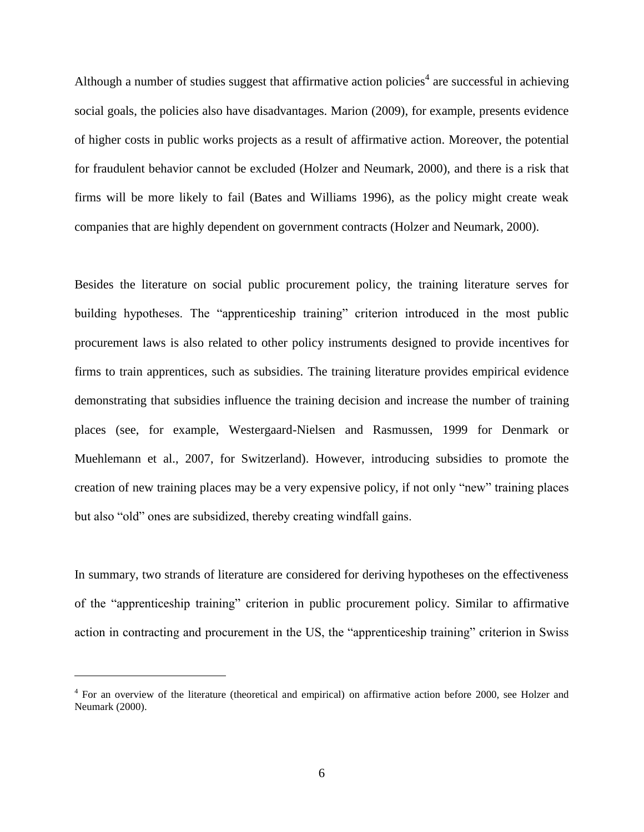Although a number of studies suggest that affirmative action policies<sup>4</sup> are successful in achieving social goals, the policies also have disadvantages. Marion (2009), for example, presents evidence of higher costs in public works projects as a result of affirmative action. Moreover, the potential for fraudulent behavior cannot be excluded (Holzer and Neumark, 2000), and there is a risk that firms will be more likely to fail (Bates and Williams 1996), as the policy might create weak companies that are highly dependent on government contracts (Holzer and Neumark, 2000).

Besides the literature on social public procurement policy, the training literature serves for building hypotheses. The "apprenticeship training" criterion introduced in the most public procurement laws is also related to other policy instruments designed to provide incentives for firms to train apprentices, such as subsidies. The training literature provides empirical evidence demonstrating that subsidies influence the training decision and increase the number of training places (see, for example, Westergaard-Nielsen and Rasmussen, 1999 for Denmark or Muehlemann et al., 2007, for Switzerland). However, introducing subsidies to promote the creation of new training places may be a very expensive policy, if not only "new" training places but also "old" ones are subsidized, thereby creating windfall gains.

In summary, two strands of literature are considered for deriving hypotheses on the effectiveness of the "apprenticeship training" criterion in public procurement policy. Similar to affirmative action in contracting and procurement in the US, the "apprenticeship training" criterion in Swiss

<u>.</u>

<sup>&</sup>lt;sup>4</sup> For an overview of the literature (theoretical and empirical) on affirmative action before 2000, see Holzer and Neumark (2000).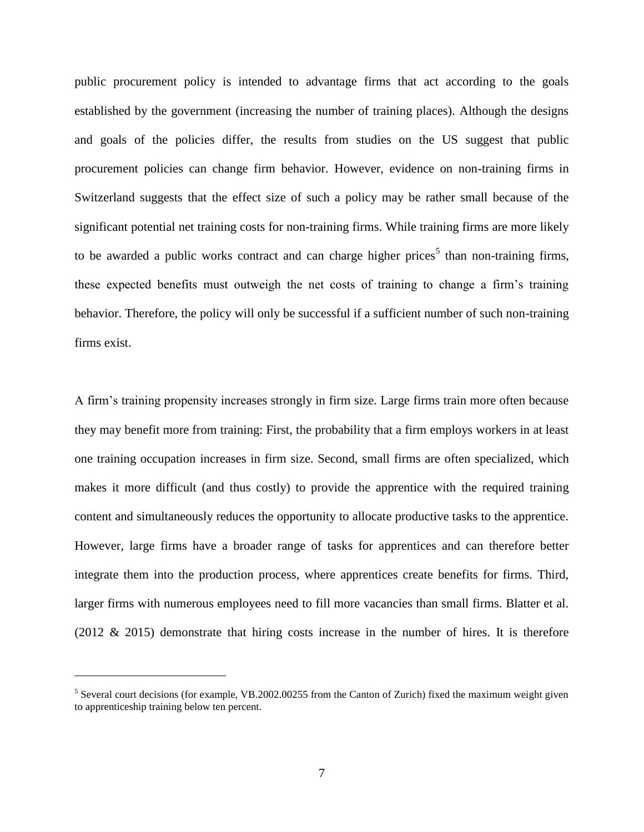public procurement policy is intended to advantage firms that act according to the goals established by the government (increasing the number of training places). Although the designs and goals of the policies differ, the results from studies on the US suggest that public procurement policies can change firm behavior. However, evidence on non-training firms in Switzerland suggests that the effect size of such a policy may be rather small because of the significant potential net training costs for non-training firms. While training firms are more likely to be awarded a public works contract and can charge higher prices<sup>5</sup> than non-training firms, these expected benefits must outweigh the net costs of training to change a firm's training behavior. Therefore, the policy will only be successful if a sufficient number of such non-training firms exist.

A firm's training propensity increases strongly in firm size. Large firms train more often because they may benefit more from training: First, the probability that a firm employs workers in at least one training occupation increases in firm size. Second, small firms are often specialized, which makes it more difficult (and thus costly) to provide the apprentice with the required training content and simultaneously reduces the opportunity to allocate productive tasks to the apprentice. However, large firms have a broader range of tasks for apprentices and can therefore better integrate them into the production process, where apprentices create benefits for firms. Third, larger firms with numerous employees need to fill more vacancies than small firms. Blatter et al. (2012 & 2015) demonstrate that hiring costs increase in the number of hires. It is therefore

<u>.</u>

<sup>&</sup>lt;sup>5</sup> Several court decisions (for example, VB.2002.00255 from the Canton of Zurich) fixed the maximum weight given to apprenticeship training below ten percent.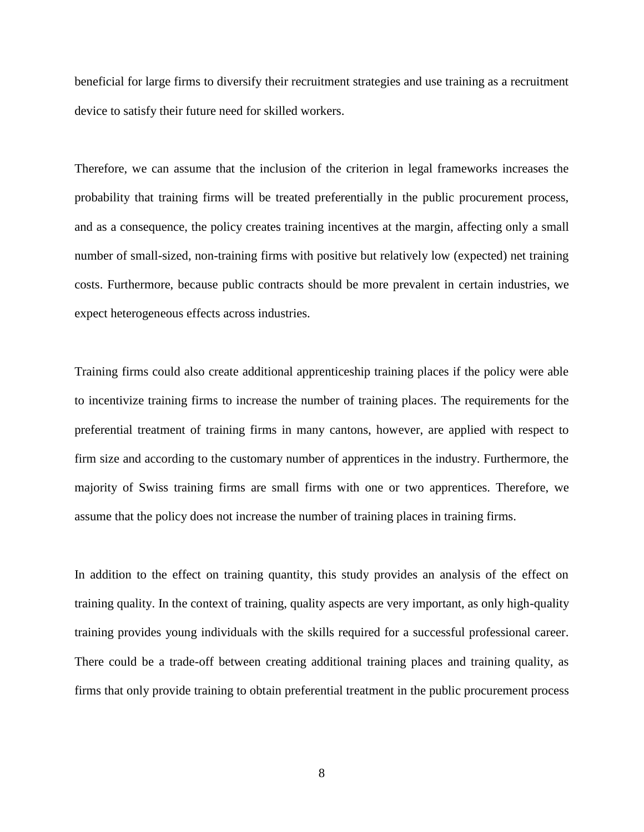beneficial for large firms to diversify their recruitment strategies and use training as a recruitment device to satisfy their future need for skilled workers.

Therefore, we can assume that the inclusion of the criterion in legal frameworks increases the probability that training firms will be treated preferentially in the public procurement process, and as a consequence, the policy creates training incentives at the margin, affecting only a small number of small-sized, non-training firms with positive but relatively low (expected) net training costs. Furthermore, because public contracts should be more prevalent in certain industries, we expect heterogeneous effects across industries.

Training firms could also create additional apprenticeship training places if the policy were able to incentivize training firms to increase the number of training places. The requirements for the preferential treatment of training firms in many cantons, however, are applied with respect to firm size and according to the customary number of apprentices in the industry. Furthermore, the majority of Swiss training firms are small firms with one or two apprentices. Therefore, we assume that the policy does not increase the number of training places in training firms.

In addition to the effect on training quantity, this study provides an analysis of the effect on training quality. In the context of training, quality aspects are very important, as only high-quality training provides young individuals with the skills required for a successful professional career. There could be a trade-off between creating additional training places and training quality, as firms that only provide training to obtain preferential treatment in the public procurement process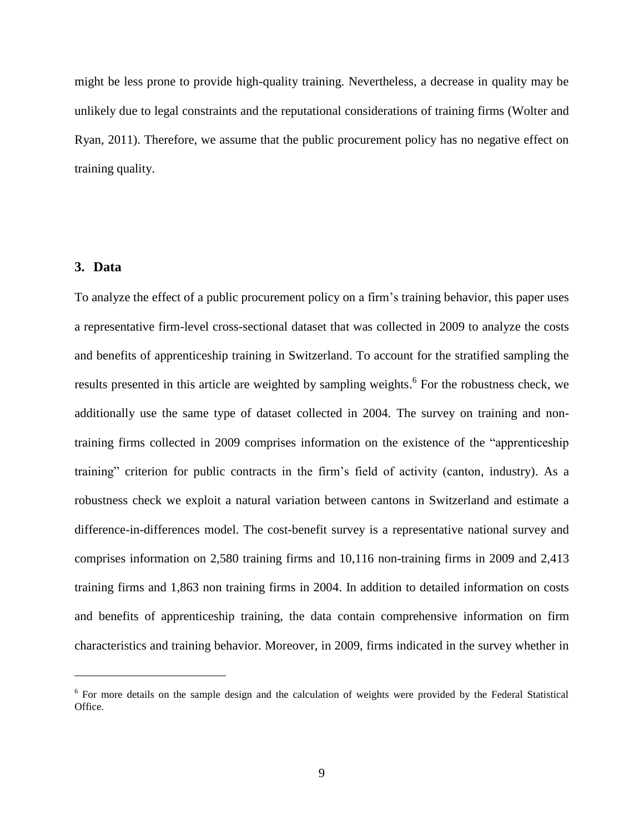might be less prone to provide high-quality training. Nevertheless, a decrease in quality may be unlikely due to legal constraints and the reputational considerations of training firms (Wolter and Ryan, 2011). Therefore, we assume that the public procurement policy has no negative effect on training quality.

#### **3. Data**

<u>.</u>

To analyze the effect of a public procurement policy on a firm's training behavior, this paper uses a representative firm-level cross-sectional dataset that was collected in 2009 to analyze the costs and benefits of apprenticeship training in Switzerland. To account for the stratified sampling the results presented in this article are weighted by sampling weights.<sup>6</sup> For the robustness check, we additionally use the same type of dataset collected in 2004. The survey on training and nontraining firms collected in 2009 comprises information on the existence of the "apprenticeship training" criterion for public contracts in the firm's field of activity (canton, industry). As a robustness check we exploit a natural variation between cantons in Switzerland and estimate a difference-in-differences model. The cost-benefit survey is a representative national survey and comprises information on 2,580 training firms and 10,116 non-training firms in 2009 and 2,413 training firms and 1,863 non training firms in 2004. In addition to detailed information on costs and benefits of apprenticeship training, the data contain comprehensive information on firm characteristics and training behavior. Moreover, in 2009, firms indicated in the survey whether in

<sup>&</sup>lt;sup>6</sup> For more details on the sample design and the calculation of weights were provided by the Federal Statistical Office.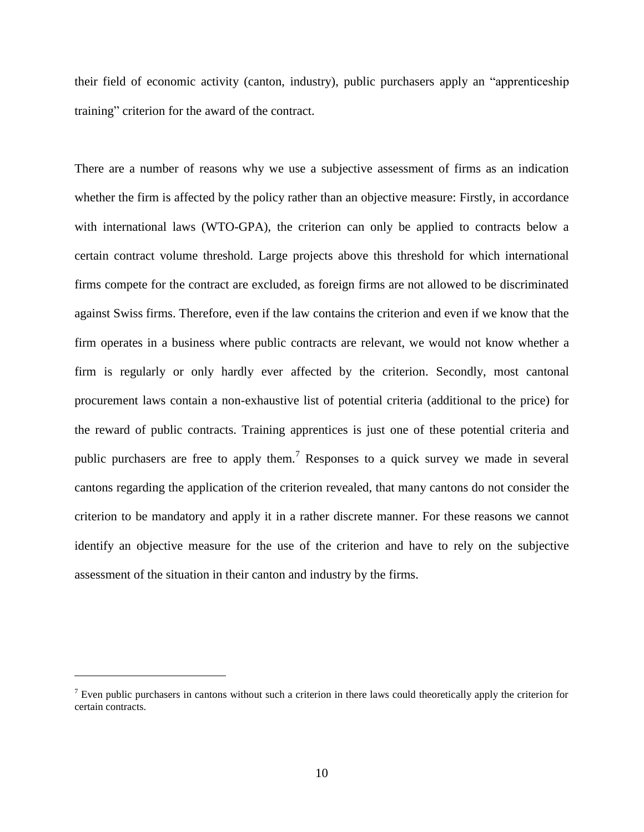their field of economic activity (canton, industry), public purchasers apply an "apprenticeship training" criterion for the award of the contract.

There are a number of reasons why we use a subjective assessment of firms as an indication whether the firm is affected by the policy rather than an objective measure: Firstly, in accordance with international laws (WTO-GPA), the criterion can only be applied to contracts below a certain contract volume threshold. Large projects above this threshold for which international firms compete for the contract are excluded, as foreign firms are not allowed to be discriminated against Swiss firms. Therefore, even if the law contains the criterion and even if we know that the firm operates in a business where public contracts are relevant, we would not know whether a firm is regularly or only hardly ever affected by the criterion. Secondly, most cantonal procurement laws contain a non-exhaustive list of potential criteria (additional to the price) for the reward of public contracts. Training apprentices is just one of these potential criteria and public purchasers are free to apply them.<sup>7</sup> Responses to a quick survey we made in several cantons regarding the application of the criterion revealed, that many cantons do not consider the criterion to be mandatory and apply it in a rather discrete manner. For these reasons we cannot identify an objective measure for the use of the criterion and have to rely on the subjective assessment of the situation in their canton and industry by the firms.

<u>.</u>

 $<sup>7</sup>$  Even public purchasers in cantons without such a criterion in there laws could theoretically apply the criterion for</sup> certain contracts.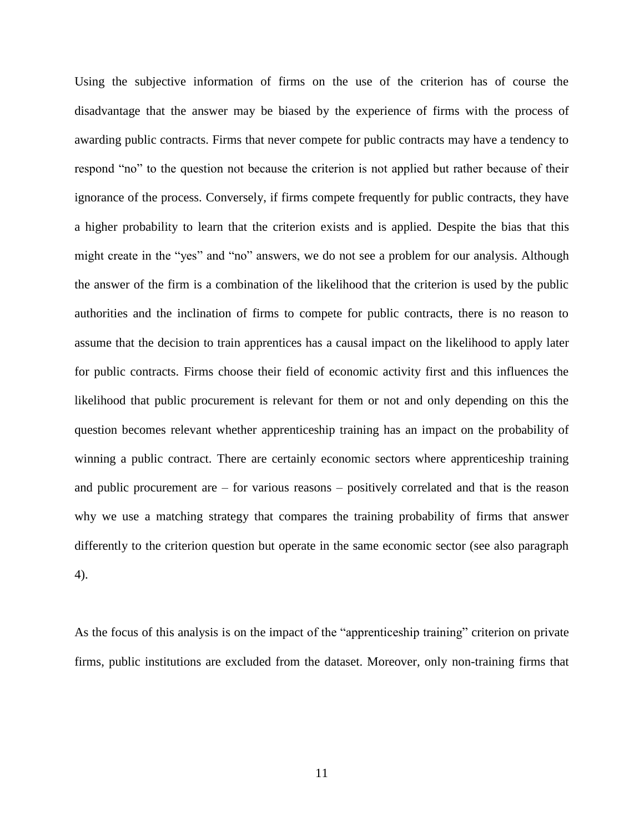Using the subjective information of firms on the use of the criterion has of course the disadvantage that the answer may be biased by the experience of firms with the process of awarding public contracts. Firms that never compete for public contracts may have a tendency to respond "no" to the question not because the criterion is not applied but rather because of their ignorance of the process. Conversely, if firms compete frequently for public contracts, they have a higher probability to learn that the criterion exists and is applied. Despite the bias that this might create in the "yes" and "no" answers, we do not see a problem for our analysis. Although the answer of the firm is a combination of the likelihood that the criterion is used by the public authorities and the inclination of firms to compete for public contracts, there is no reason to assume that the decision to train apprentices has a causal impact on the likelihood to apply later for public contracts. Firms choose their field of economic activity first and this influences the likelihood that public procurement is relevant for them or not and only depending on this the question becomes relevant whether apprenticeship training has an impact on the probability of winning a public contract. There are certainly economic sectors where apprenticeship training and public procurement are – for various reasons – positively correlated and that is the reason why we use a matching strategy that compares the training probability of firms that answer differently to the criterion question but operate in the same economic sector (see also paragraph 4).

As the focus of this analysis is on the impact of the "apprenticeship training" criterion on private firms, public institutions are excluded from the dataset. Moreover, only non-training firms that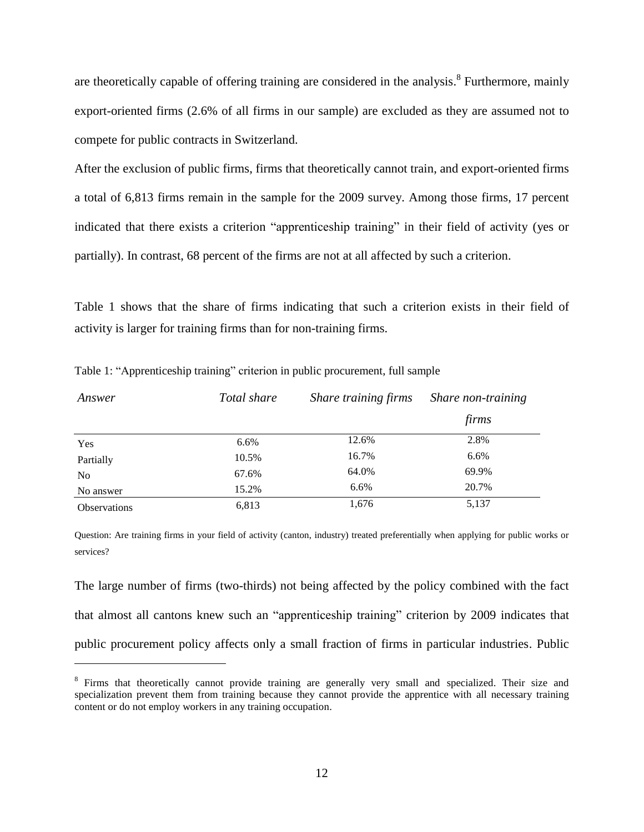are theoretically capable of offering training are considered in the analysis.<sup>8</sup> Furthermore, mainly export-oriented firms (2.6% of all firms in our sample) are excluded as they are assumed not to compete for public contracts in Switzerland.

After the exclusion of public firms, firms that theoretically cannot train, and export-oriented firms a total of 6,813 firms remain in the sample for the 2009 survey. Among those firms, 17 percent indicated that there exists a criterion "apprenticeship training" in their field of activity (yes or partially). In contrast, 68 percent of the firms are not at all affected by such a criterion.

Table 1 shows that the share of firms indicating that such a criterion exists in their field of activity is larger for training firms than for non-training firms.

| Answer              | Total share | Share training firms | Share non-training |  |
|---------------------|-------------|----------------------|--------------------|--|
|                     |             |                      | firms              |  |
| Yes                 | 6.6%        | 12.6%                | 2.8%               |  |
| Partially           | 10.5%       | 16.7%                | 6.6%               |  |
| N <sub>0</sub>      | 67.6%       | 64.0%                | 69.9%              |  |
| No answer           | 15.2%       | 6.6%                 | 20.7%              |  |
| <b>Observations</b> | 6,813       | 1,676                | 5,137              |  |

Table 1: "Apprenticeship training" criterion in public procurement, full sample

<u>.</u>

Question: Are training firms in your field of activity (canton, industry) treated preferentially when applying for public works or services?

The large number of firms (two-thirds) not being affected by the policy combined with the fact that almost all cantons knew such an "apprenticeship training" criterion by 2009 indicates that public procurement policy affects only a small fraction of firms in particular industries. Public

<sup>&</sup>lt;sup>8</sup> Firms that theoretically cannot provide training are generally very small and specialized. Their size and specialization prevent them from training because they cannot provide the apprentice with all necessary training content or do not employ workers in any training occupation.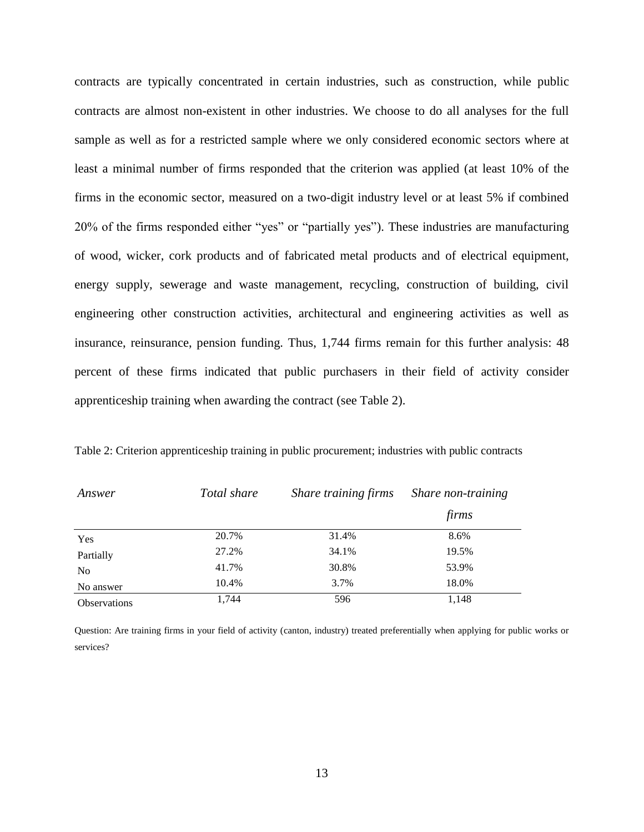contracts are typically concentrated in certain industries, such as construction, while public contracts are almost non-existent in other industries. We choose to do all analyses for the full sample as well as for a restricted sample where we only considered economic sectors where at least a minimal number of firms responded that the criterion was applied (at least 10% of the firms in the economic sector, measured on a two-digit industry level or at least 5% if combined 20% of the firms responded either "yes" or "partially yes"). These industries are manufacturing of wood, wicker, cork products and of fabricated metal products and of electrical equipment, energy supply, sewerage and waste management, recycling, construction of building, civil engineering other construction activities, architectural and engineering activities as well as insurance, reinsurance, pension funding. Thus, 1,744 firms remain for this further analysis: 48 percent of these firms indicated that public purchasers in their field of activity consider apprenticeship training when awarding the contract (see Table 2).

| Answer              | Total share | Share training firms | Share non-training |
|---------------------|-------------|----------------------|--------------------|
|                     |             |                      | firms              |
| Yes                 | 20.7%       | 31.4%                | 8.6%               |
| Partially           | 27.2%       | 34.1%                | 19.5%              |
| N <sub>0</sub>      | 41.7%       | 30.8%                | 53.9%              |
| No answer           | 10.4%       | 3.7%                 | 18.0%              |
| <b>Observations</b> | 1,744       | 596                  | 1,148              |

Table 2: Criterion apprenticeship training in public procurement; industries with public contracts

Question: Are training firms in your field of activity (canton, industry) treated preferentially when applying for public works or services?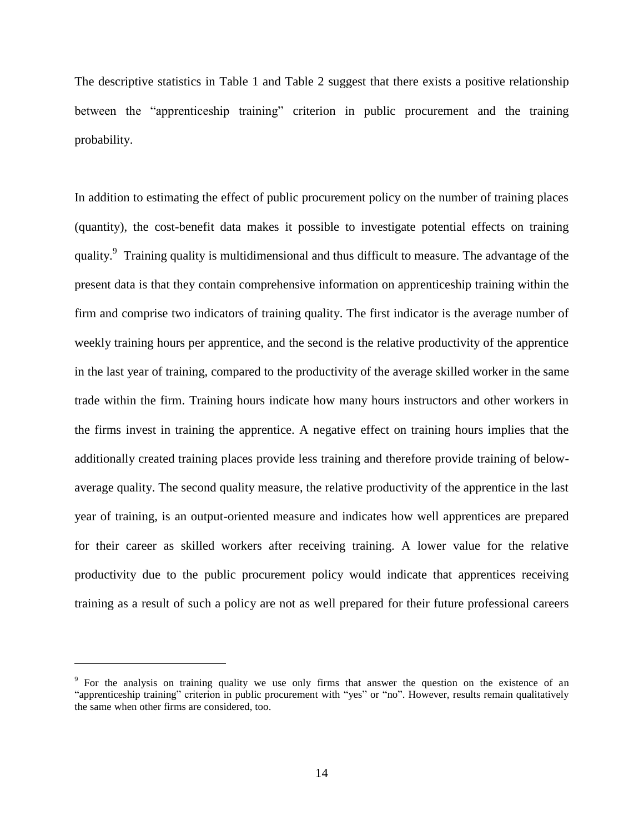The descriptive statistics in Table 1 and Table 2 suggest that there exists a positive relationship between the "apprenticeship training" criterion in public procurement and the training probability.

In addition to estimating the effect of public procurement policy on the number of training places (quantity), the cost-benefit data makes it possible to investigate potential effects on training quality.<sup>9</sup> Training quality is multidimensional and thus difficult to measure. The advantage of the present data is that they contain comprehensive information on apprenticeship training within the firm and comprise two indicators of training quality. The first indicator is the average number of weekly training hours per apprentice, and the second is the relative productivity of the apprentice in the last year of training, compared to the productivity of the average skilled worker in the same trade within the firm. Training hours indicate how many hours instructors and other workers in the firms invest in training the apprentice. A negative effect on training hours implies that the additionally created training places provide less training and therefore provide training of belowaverage quality. The second quality measure, the relative productivity of the apprentice in the last year of training, is an output-oriented measure and indicates how well apprentices are prepared for their career as skilled workers after receiving training. A lower value for the relative productivity due to the public procurement policy would indicate that apprentices receiving training as a result of such a policy are not as well prepared for their future professional careers

<u>.</u>

<sup>&</sup>lt;sup>9</sup> For the analysis on training quality we use only firms that answer the question on the existence of an "apprenticeship training" criterion in public procurement with "yes" or "no". However, results remain qualitatively the same when other firms are considered, too.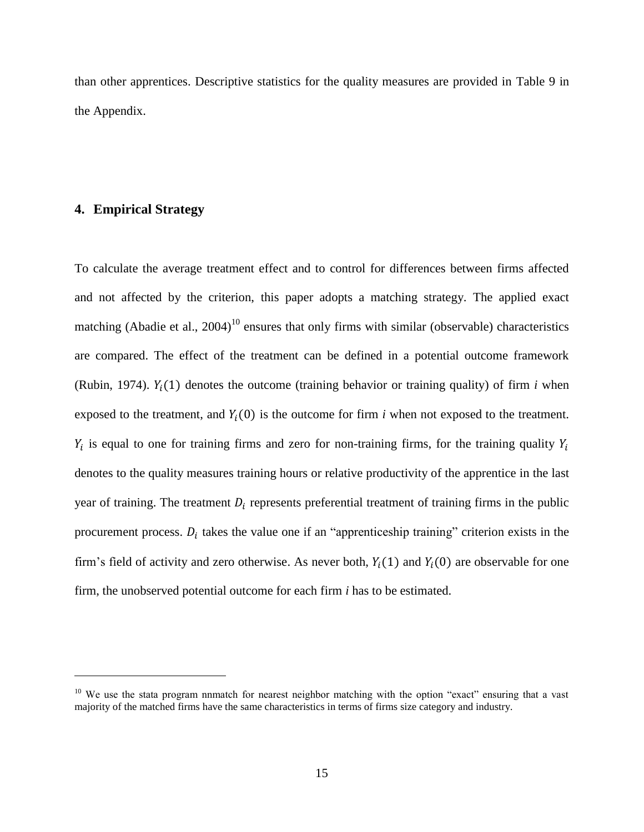than other apprentices. Descriptive statistics for the quality measures are provided in [Table 9](#page-30-0) in the Appendix.

#### **4. Empirical Strategy**

<u>.</u>

To calculate the average treatment effect and to control for differences between firms affected and not affected by the criterion, this paper adopts a matching strategy. The applied exact matching (Abadie et al.,  $2004$ <sup>10</sup> ensures that only firms with similar (observable) characteristics are compared. The effect of the treatment can be defined in a potential outcome framework (Rubin, 1974).  $Y_i(1)$  denotes the outcome (training behavior or training quality) of firm *i* when exposed to the treatment, and  $Y_i(0)$  is the outcome for firm *i* when not exposed to the treatment.  $Y_i$  is equal to one for training firms and zero for non-training firms, for the training quality denotes to the quality measures training hours or relative productivity of the apprentice in the last year of training. The treatment  $D_i$  represents preferential treatment of training firms in the public procurement process.  $D_i$  takes the value one if an "apprenticeship training" criterion exists in the firm's field of activity and zero otherwise. As never both,  $Y_i(1)$  and  $Y_i(0)$  are observable for one firm, the unobserved potential outcome for each firm *i* has to be estimated.

 $10$  We use the stata program nnmatch for nearest neighbor matching with the option "exact" ensuring that a vast majority of the matched firms have the same characteristics in terms of firms size category and industry.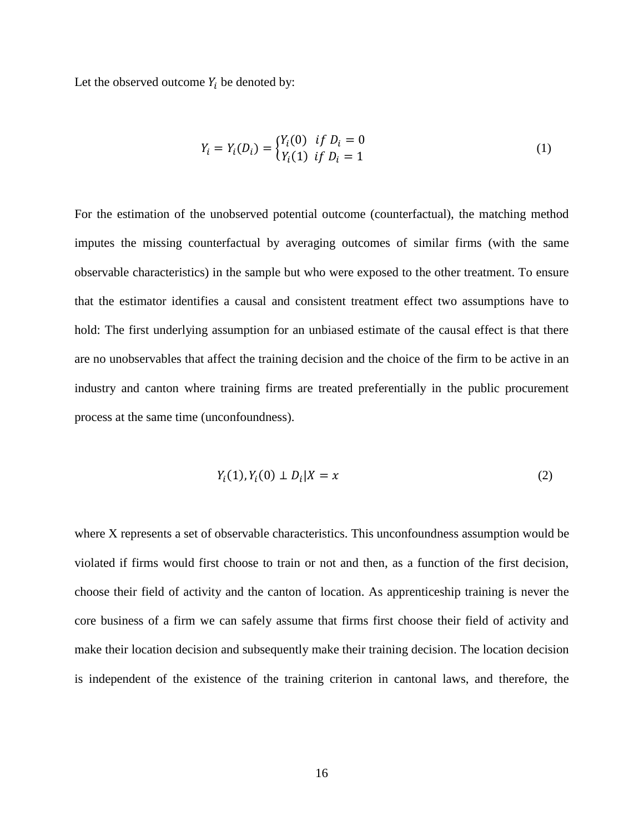Let the observed outcome  $Y_i$  be denoted by:

$$
Y_i = Y_i(D_i) = \begin{cases} Y_i(0) & \text{if } D_i = 0\\ Y_i(1) & \text{if } D_i = 1 \end{cases}
$$
 (1)

For the estimation of the unobserved potential outcome (counterfactual), the matching method imputes the missing counterfactual by averaging outcomes of similar firms (with the same observable characteristics) in the sample but who were exposed to the other treatment. To ensure that the estimator identifies a causal and consistent treatment effect two assumptions have to hold: The first underlying assumption for an unbiased estimate of the causal effect is that there are no unobservables that affect the training decision and the choice of the firm to be active in an industry and canton where training firms are treated preferentially in the public procurement process at the same time (unconfoundness).

$$
Y_i(1), Y_i(0) \perp D_i | X = x \tag{2}
$$

where X represents a set of observable characteristics. This unconfoundness assumption would be violated if firms would first choose to train or not and then, as a function of the first decision, choose their field of activity and the canton of location. As apprenticeship training is never the core business of a firm we can safely assume that firms first choose their field of activity and make their location decision and subsequently make their training decision. The location decision is independent of the existence of the training criterion in cantonal laws, and therefore, the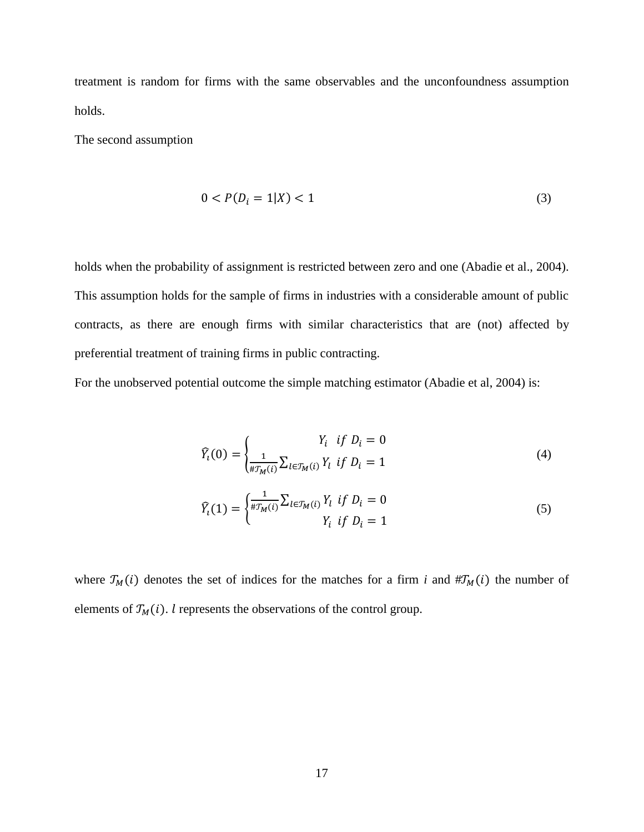treatment is random for firms with the same observables and the unconfoundness assumption holds.

The second assumption

$$
0 < P(D_i = 1 | X) < 1 \tag{3}
$$

holds when the probability of assignment is restricted between zero and one (Abadie et al., 2004). This assumption holds for the sample of firms in industries with a considerable amount of public contracts, as there are enough firms with similar characteristics that are (not) affected by preferential treatment of training firms in public contracting.

For the unobserved potential outcome the simple matching estimator (Abadie et al, 2004) is:

$$
\widehat{Y}_l(0) = \begin{cases}\n Y_i & if \ D_i = 0 \\
\frac{1}{\# \mathcal{T}_M(i)} \sum_{l \in \mathcal{T}_M(i)} Y_l & if \ D_i = 1\n \end{cases} \tag{4}
$$

$$
\widehat{Y}_l(1) = \begin{cases} \frac{1}{\# \mathcal{T}_M(i)} \sum_{l \in \mathcal{T}_M(i)} Y_l & \text{if } D_i = 0\\ Y_i & \text{if } D_i = 1 \end{cases} \tag{5}
$$

where  $T_M(i)$  denotes the set of indices for the matches for a firm *i* and  $#T_M(i)$  the number of elements of  $T_M(i)$ . *l* represents the observations of the control group.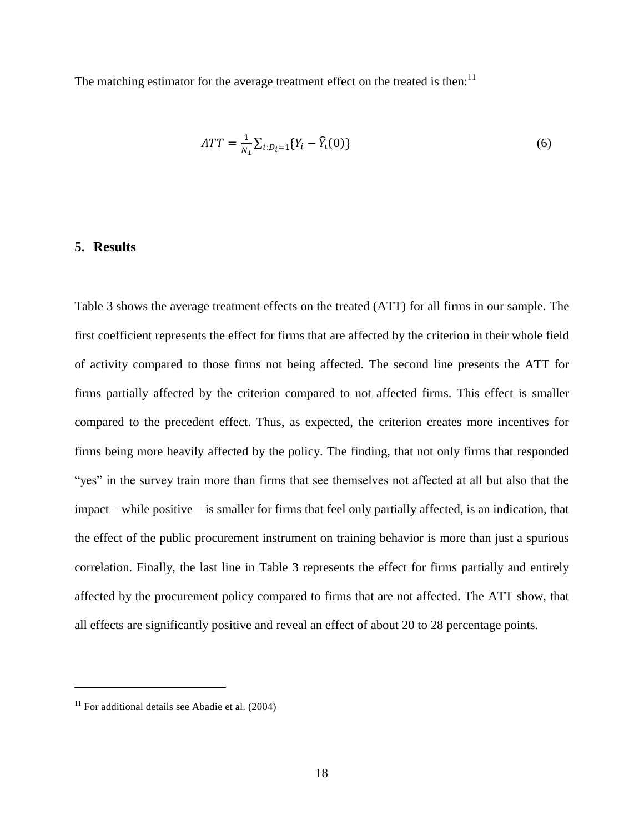The matching estimator for the average treatment effect on the treated is then: $11$ 

$$
ATT = \frac{1}{N_1} \sum_{i:D_i=1} \{Y_i - \widehat{Y}_i(0)\}
$$
\n(6)

#### **5. Results**

Table 3 shows the average treatment effects on the treated (ATT) for all firms in our sample. The first coefficient represents the effect for firms that are affected by the criterion in their whole field of activity compared to those firms not being affected. The second line presents the ATT for firms partially affected by the criterion compared to not affected firms. This effect is smaller compared to the precedent effect. Thus, as expected, the criterion creates more incentives for firms being more heavily affected by the policy. The finding, that not only firms that responded "yes" in the survey train more than firms that see themselves not affected at all but also that the impact – while positive – is smaller for firms that feel only partially affected, is an indication, that the effect of the public procurement instrument on training behavior is more than just a spurious correlation. Finally, the last line in Table 3 represents the effect for firms partially and entirely affected by the procurement policy compared to firms that are not affected. The ATT show, that all effects are significantly positive and reveal an effect of about 20 to 28 percentage points.

1

 $11$  For additional details see Abadie et al. (2004)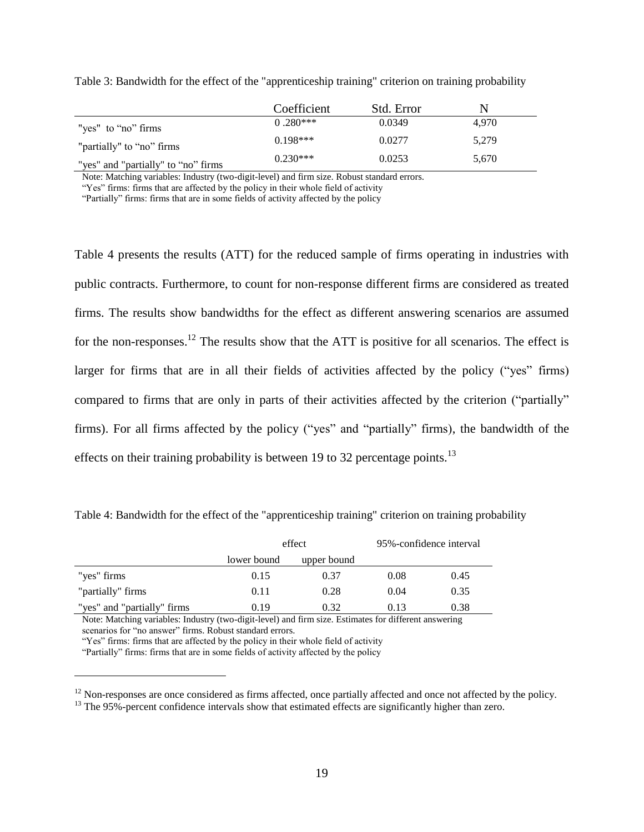|                                     | Coefficient | Std. Error | N     |  |
|-------------------------------------|-------------|------------|-------|--|
| "yes" to "no" firms                 | $0.280***$  | 0.0349     | 4.970 |  |
| "partially" to "no" firms           | $0.198***$  | 0.0277     | 5.279 |  |
| "yes" and "partially" to "no" firms | $0.230***$  | 0.0253     | 5,670 |  |

Table 3: Bandwidth for the effect of the "apprenticeship training" criterion on training probability

Note: Matching variables: Industry (two-digit-level) and firm size. Robust standard errors.

"Yes" firms: firms that are affected by the policy in their whole field of activity

"Partially" firms: firms that are in some fields of activity affected by the policy

[Table 4](#page-20-0) presents the results (ATT) for the reduced sample of firms operating in industries with public contracts. Furthermore, to count for non-response different firms are considered as treated firms. The results show bandwidths for the effect as different answering scenarios are assumed for the non-responses.<sup>12</sup> The results show that the ATT is positive for all scenarios. The effect is larger for firms that are in all their fields of activities affected by the policy ("yes" firms) compared to firms that are only in parts of their activities affected by the criterion ("partially" firms). For all firms affected by the policy ("yes" and "partially" firms), the bandwidth of the effects on their training probability is between 19 to 32 percentage points.<sup>13</sup>

<span id="page-20-0"></span>

| Table 4: Bandwidth for the effect of the "apprenticeship training" criterion on training probability |  |  |  |
|------------------------------------------------------------------------------------------------------|--|--|--|
|------------------------------------------------------------------------------------------------------|--|--|--|

|                             | effect      |             |      | 95%-confidence interval |  |  |
|-----------------------------|-------------|-------------|------|-------------------------|--|--|
|                             | lower bound | upper bound |      |                         |  |  |
| "yes" firms                 | 0.15        | 0.37        | 0.08 | 0.45                    |  |  |
| "partially" firms           | 0.11        | 0.28        | 0.04 | 0.35                    |  |  |
| "yes" and "partially" firms | 0.19        | 0.32        | 0.13 | 0.38                    |  |  |

Note: Matching variables: Industry (two-digit-level) and firm size. Estimates for different answering scenarios for "no answer" firms. Robust standard errors.

"Yes" firms: firms that are affected by the policy in their whole field of activity

"Partially" firms: firms that are in some fields of activity affected by the policy

<u>.</u>

<sup>13</sup> The 95%-percent confidence intervals show that estimated effects are significantly higher than zero.

<sup>&</sup>lt;sup>12</sup> Non-responses are once considered as firms affected, once partially affected and once not affected by the policy.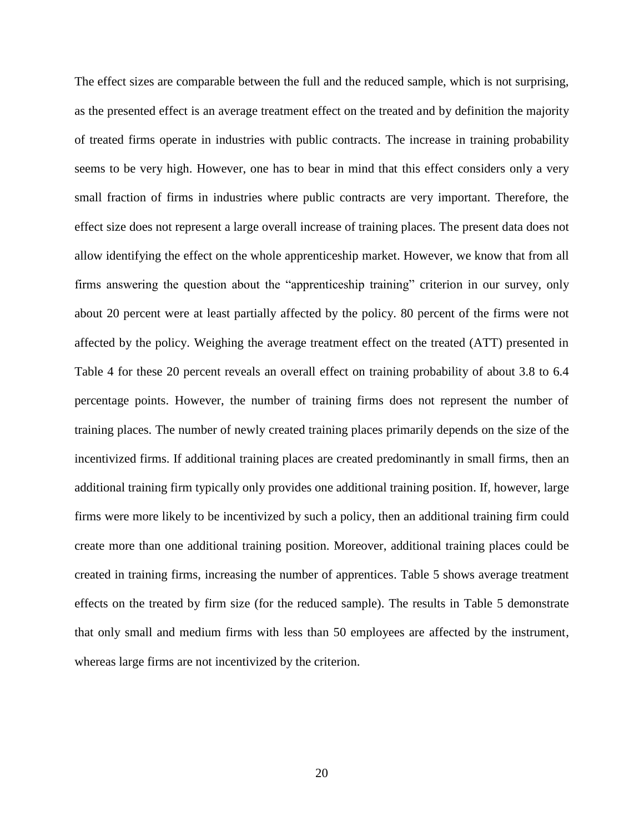The effect sizes are comparable between the full and the reduced sample, which is not surprising, as the presented effect is an average treatment effect on the treated and by definition the majority of treated firms operate in industries with public contracts. The increase in training probability seems to be very high. However, one has to bear in mind that this effect considers only a very small fraction of firms in industries where public contracts are very important. Therefore, the effect size does not represent a large overall increase of training places. The present data does not allow identifying the effect on the whole apprenticeship market. However, we know that from all firms answering the question about the "apprenticeship training" criterion in our survey, only about 20 percent were at least partially affected by the policy. 80 percent of the firms were not affected by the policy. Weighing the average treatment effect on the treated (ATT) presented in [Table 4](#page-20-0) for these 20 percent reveals an overall effect on training probability of about 3.8 to 6.4 percentage points. However, the number of training firms does not represent the number of training places. The number of newly created training places primarily depends on the size of the incentivized firms. If additional training places are created predominantly in small firms, then an additional training firm typically only provides one additional training position. If, however, large firms were more likely to be incentivized by such a policy, then an additional training firm could create more than one additional training position. Moreover, additional training places could be created in training firms, increasing the number of apprentices. [Table 5](#page-22-0) shows average treatment effects on the treated by firm size (for the reduced sample). The results in [Table 5](#page-22-0) demonstrate that only small and medium firms with less than 50 employees are affected by the instrument, whereas large firms are not incentivized by the criterion.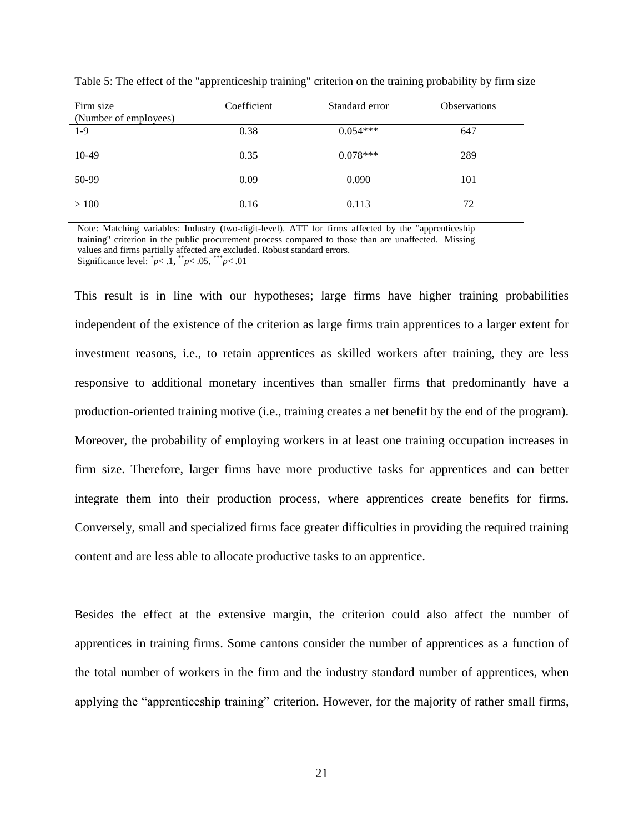| Firm size             | Coefficient | Standard error | <b>Observations</b> |
|-----------------------|-------------|----------------|---------------------|
| (Number of employees) |             |                |                     |
| $1-9$                 | 0.38        | $0.054***$     | 647                 |
| 10-49                 | 0.35        | $0.078***$     | 289                 |
| 50-99                 | 0.09        | 0.090          | 101                 |
| >100                  | 0.16        | 0.113          | 72                  |

<span id="page-22-0"></span>Table 5: The effect of the "apprenticeship training" criterion on the training probability by firm size

Note: Matching variables: Industry (two-digit-level). ATT for firms affected by the "apprenticeship training" criterion in the public procurement process compared to those than are unaffected. Missing values and firms partially affected are excluded. Robust standard errors.

Significance level: \* *p*< .1, \*\**p*< .05, \*\*\**p*< .01

This result is in line with our hypotheses; large firms have higher training probabilities independent of the existence of the criterion as large firms train apprentices to a larger extent for investment reasons, i.e., to retain apprentices as skilled workers after training, they are less responsive to additional monetary incentives than smaller firms that predominantly have a production-oriented training motive (i.e., training creates a net benefit by the end of the program). Moreover, the probability of employing workers in at least one training occupation increases in firm size. Therefore, larger firms have more productive tasks for apprentices and can better integrate them into their production process, where apprentices create benefits for firms. Conversely, small and specialized firms face greater difficulties in providing the required training content and are less able to allocate productive tasks to an apprentice.

Besides the effect at the extensive margin, the criterion could also affect the number of apprentices in training firms. Some cantons consider the number of apprentices as a function of the total number of workers in the firm and the industry standard number of apprentices, when applying the "apprenticeship training" criterion. However, for the majority of rather small firms,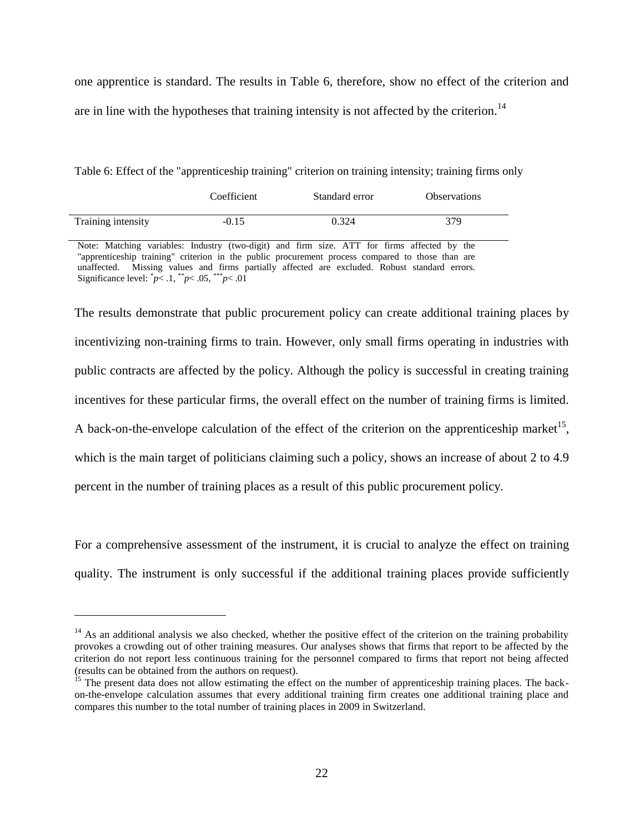one apprentice is standard. The results in [Table 6,](#page-23-0) therefore, show no effect of the criterion and are in line with the hypotheses that training intensity is not affected by the criterion.<sup>14</sup>

<span id="page-23-0"></span>Table 6: Effect of the "apprenticeship training" criterion on training intensity; training firms only

|                    | Coefficient | Standard error | <i><b>Observations</b></i> |
|--------------------|-------------|----------------|----------------------------|
| Training intensity | $-0.15$     | 0.324          | 379                        |

Note: Matching variables: Industry (two-digit) and firm size. ATT for firms affected by the "apprenticeship training" criterion in the public procurement process compared to those than are unaffected. Missing values and firms partially affected are excluded. Robust standard errors. Significance level: \* *p*< .1, \*\**p*< .05, \*\*\**p*< .01

The results demonstrate that public procurement policy can create additional training places by incentivizing non-training firms to train. However, only small firms operating in industries with public contracts are affected by the policy. Although the policy is successful in creating training incentives for these particular firms, the overall effect on the number of training firms is limited. A back-on-the-envelope calculation of the effect of the criterion on the apprenticeship market<sup>15</sup>, which is the main target of politicians claiming such a policy, shows an increase of about 2 to 4.9 percent in the number of training places as a result of this public procurement policy.

For a comprehensive assessment of the instrument, it is crucial to analyze the effect on training quality. The instrument is only successful if the additional training places provide sufficiently

1

 $14$  As an additional analysis we also checked, whether the positive effect of the criterion on the training probability provokes a crowding out of other training measures. Our analyses shows that firms that report to be affected by the criterion do not report less continuous training for the personnel compared to firms that report not being affected (results can be obtained from the authors on request).

 $15$  The present data does not allow estimating the effect on the number of apprenticeship training places. The backon-the-envelope calculation assumes that every additional training firm creates one additional training place and compares this number to the total number of training places in 2009 in Switzerland.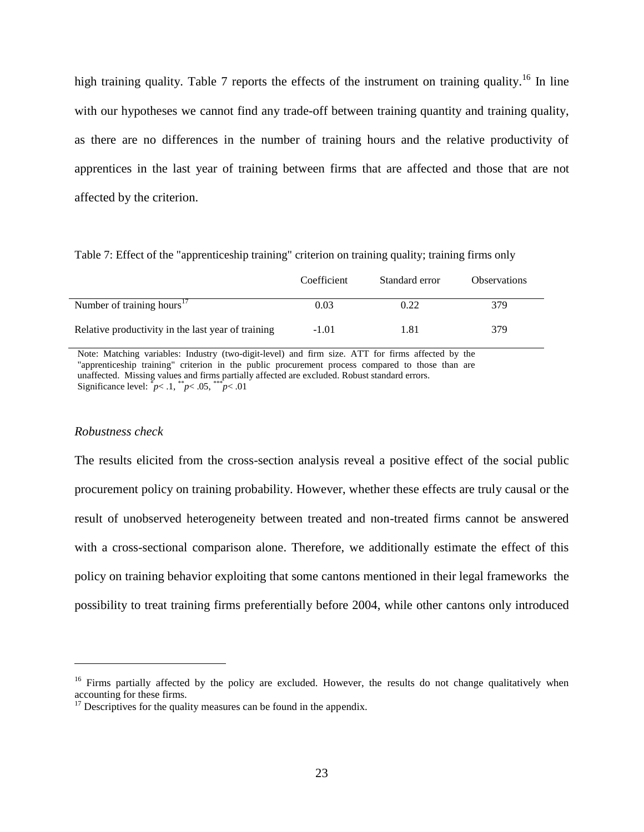high training quality. [Table 7](#page-24-0) reports the effects of the instrument on training quality.<sup>16</sup> In line with our hypotheses we cannot find any trade-off between training quantity and training quality, as there are no differences in the number of training hours and the relative productivity of apprentices in the last year of training between firms that are affected and those that are not affected by the criterion.

<span id="page-24-0"></span>Table 7: Effect of the "apprenticeship training" criterion on training quality; training firms only

|                                                    | Coefficient | Standard error | <b>Observations</b> |
|----------------------------------------------------|-------------|----------------|---------------------|
| Number of training hours <sup>17</sup>             | 0.03        | 0.22           | 379                 |
| Relative productivity in the last year of training | $-1.01$     | l.81           | 379                 |

Note: Matching variables: Industry (two-digit-level) and firm size. ATT for firms affected by the "apprenticeship training" criterion in the public procurement process compared to those than are unaffected. Missing values and firms partially affected are excluded. Robust standard errors. Significance level:  $p < 0.1, p < 0.05, p < 0.01$ 

#### *Robustness check*

<u>.</u>

The results elicited from the cross-section analysis reveal a positive effect of the social public procurement policy on training probability. However, whether these effects are truly causal or the result of unobserved heterogeneity between treated and non-treated firms cannot be answered with a cross-sectional comparison alone. Therefore, we additionally estimate the effect of this policy on training behavior exploiting that some cantons mentioned in their legal frameworks the possibility to treat training firms preferentially before 2004, while other cantons only introduced

<sup>&</sup>lt;sup>16</sup> Firms partially affected by the policy are excluded. However, the results do not change qualitatively when accounting for these firms.

 $17$  Descriptives for the quality measures can be found in the appendix.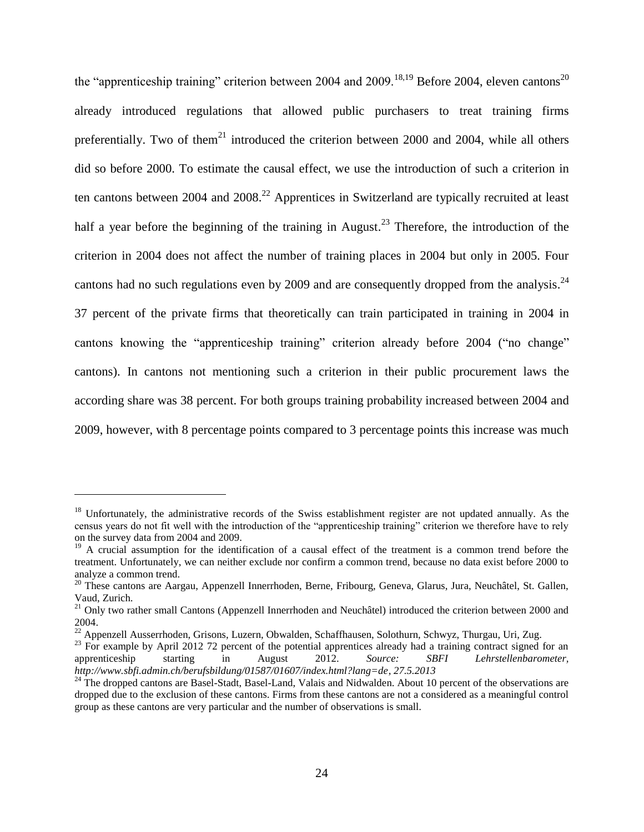the "apprenticeship training" criterion between 2004 and 2009.<sup>18,19</sup> Before 2004, eleven cantons<sup>20</sup> already introduced regulations that allowed public purchasers to treat training firms preferentially. Two of them<sup>21</sup> introduced the criterion between 2000 and 2004, while all others did so before 2000. To estimate the causal effect, we use the introduction of such a criterion in ten cantons between 2004 and 2008.<sup>22</sup> Apprentices in Switzerland are typically recruited at least half a year before the beginning of the training in August.<sup>23</sup> Therefore, the introduction of the criterion in 2004 does not affect the number of training places in 2004 but only in 2005. Four cantons had no such regulations even by 2009 and are consequently dropped from the analysis.<sup>24</sup> 37 percent of the private firms that theoretically can train participated in training in 2004 in cantons knowing the "apprenticeship training" criterion already before 2004 ("no change" cantons). In cantons not mentioning such a criterion in their public procurement laws the according share was 38 percent. For both groups training probability increased between 2004 and 2009, however, with 8 percentage points compared to 3 percentage points this increase was much

-

<sup>&</sup>lt;sup>18</sup> Unfortunately, the administrative records of the Swiss establishment register are not updated annually. As the census years do not fit well with the introduction of the "apprenticeship training" criterion we therefore have to rely on the survey data from 2004 and 2009.

<sup>&</sup>lt;sup>19</sup> A crucial assumption for the identification of a causal effect of the treatment is a common trend before the treatment. Unfortunately, we can neither exclude nor confirm a common trend, because no data exist before 2000 to analyze a common trend.

<sup>&</sup>lt;sup>20</sup> These cantons are Aargau, Appenzell Innerrhoden, Berne, Fribourg, Geneva, Glarus, Jura, Neuchâtel, St. Gallen, Vaud, Zurich.

 $21$  Only two rather small Cantons (Appenzell Innerrhoden and Neuchâtel) introduced the criterion between 2000 and 2004.

<sup>&</sup>lt;sup>22</sup> Appenzell Ausserrhoden, Grisons, Luzern, Obwalden, Schaffhausen, Solothurn, Schwyz, Thurgau, Uri, Zug.

<sup>&</sup>lt;sup>23</sup> For example by April 2012 72 percent of the potential apprentices already had a training contract signed for an apprentices already had a training contract signed for an apprentices already had a training contract si apprenticeship starting in August 2012. *Source: SBFI Lehrstellenbarometer, http://www.sbfi.admin.ch/berufsbildung/01587/01607/index.html?lang=de, 27.5.2013*

<sup>&</sup>lt;sup>24</sup> The dropped cantons are Basel-Stadt, Basel-Land, Valais and Nidwalden. About 10 percent of the observations are dropped due to the exclusion of these cantons. Firms from these cantons are not a considered as a meaningful control group as these cantons are very particular and the number of observations is small.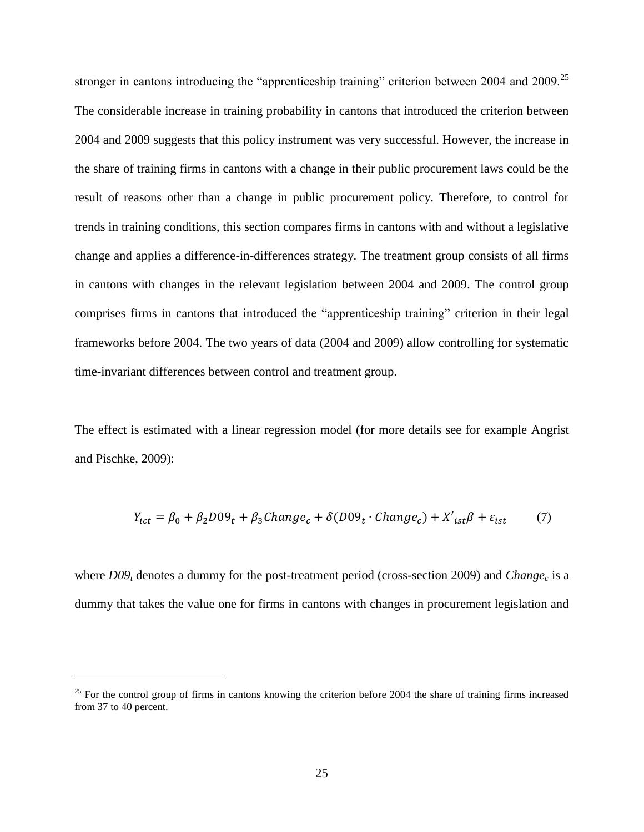stronger in cantons introducing the "apprenticeship training" criterion between 2004 and 2009.<sup>25</sup> The considerable increase in training probability in cantons that introduced the criterion between 2004 and 2009 suggests that this policy instrument was very successful. However, the increase in the share of training firms in cantons with a change in their public procurement laws could be the result of reasons other than a change in public procurement policy. Therefore, to control for trends in training conditions, this section compares firms in cantons with and without a legislative change and applies a difference-in-differences strategy. The treatment group consists of all firms in cantons with changes in the relevant legislation between 2004 and 2009. The control group comprises firms in cantons that introduced the "apprenticeship training" criterion in their legal frameworks before 2004. The two years of data (2004 and 2009) allow controlling for systematic time-invariant differences between control and treatment group.

The effect is estimated with a linear regression model (for more details see for example Angrist and Pischke, 2009):

$$
Y_{ict} = \beta_0 + \beta_2 D09_t + \beta_3 Change_c + \delta(D09_t \cdot Change_c) + X'_{ist}\beta + \varepsilon_{ist} \tag{7}
$$

where  $D09<sub>t</sub>$  denotes a dummy for the post-treatment period (cross-section 2009) and *Change*<sub>c</sub> is a dummy that takes the value one for firms in cantons with changes in procurement legislation and

<u>.</u>

 $25$  For the control group of firms in cantons knowing the criterion before 2004 the share of training firms increased from 37 to 40 percent.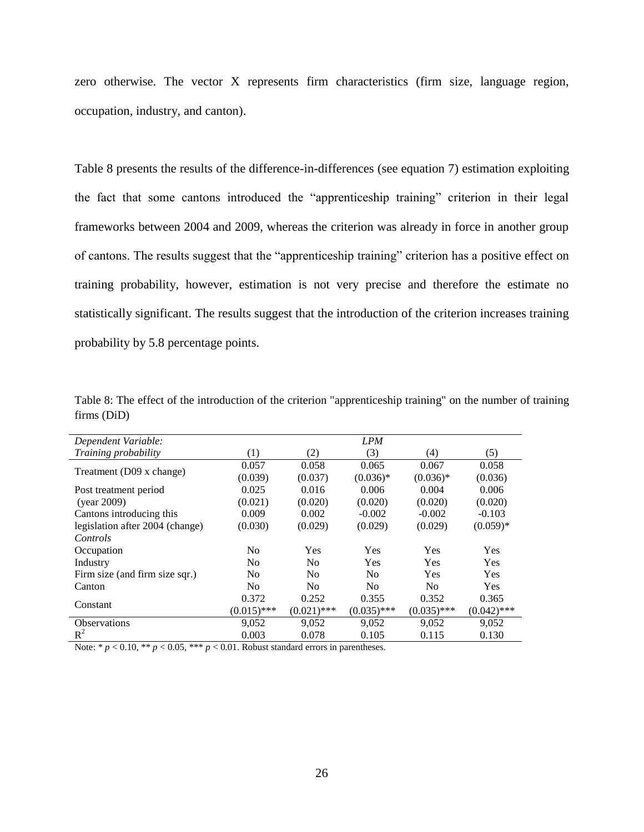zero otherwise. The vector X represents firm characteristics (firm size, language region, occupation, industry, and canton).

[Table 8](#page-27-0) presents the results of the difference-in-differences (see equation 7) estimation exploiting the fact that some cantons introduced the "apprenticeship training" criterion in their legal frameworks between 2004 and 2009, whereas the criterion was already in force in another group of cantons. The results suggest that the "apprenticeship training" criterion has a positive effect on training probability, however, estimation is not very precise and therefore the estimate no statistically significant. The results suggest that the introduction of the criterion increases training probability by 5.8 percentage points.

<span id="page-27-0"></span>Table 8: The effect of the introduction of the criterion "apprenticeship training" on the number of training firms (DiD)

| Dependent Variable:             |                |                | LPM            |                |               |
|---------------------------------|----------------|----------------|----------------|----------------|---------------|
| Training probability            | (1)            | (2)            | (3)            | (4)            | (5)           |
| Treatment (D09 x change)        | 0.057          | 0.058          | 0.065          | 0.067          | 0.058         |
|                                 | (0.039)        | (0.037)        | $(0.036)*$     | $(0.036)*$     | (0.036)       |
| Post treatment period           | 0.025          | 0.016          | 0.006          | 0.004          | 0.006         |
| (year 2009)                     | (0.021)        | (0.020)        | (0.020)        | (0.020)        | (0.020)       |
| Cantons introducing this        | 0.009          | 0.002          | $-0.002$       | $-0.002$       | $-0.103$      |
| legislation after 2004 (change) | (0.030)        | (0.029)        | (0.029)        | (0.029)        | $(0.059)*$    |
| Controls                        |                |                |                |                |               |
| Occupation                      | N <sub>0</sub> | <b>Yes</b>     | Yes            | <b>Yes</b>     | <b>Yes</b>    |
| Industry                        | N <sub>0</sub> | N <sub>0</sub> | Yes            | Yes            | Yes           |
| Firm size (and firm size sqr.)  | N <sub>0</sub> | N <sub>0</sub> | N <sub>0</sub> | Yes            | <b>Yes</b>    |
| Canton                          | N <sub>0</sub> | N <sub>0</sub> | N <sub>0</sub> | N <sub>0</sub> | <b>Yes</b>    |
| Constant                        | 0.372          | 0.252          | 0.355          | 0.352          | 0.365         |
|                                 | $(0.015)$ ***  | $(0.021)$ ***  | $(0.035)$ ***  | $(0.035)$ ***  | $(0.042)$ *** |
| <b>Observations</b>             | 9,052          | 9.052          | 9,052          | 9.052          | 9,052         |
| $R^2$                           | 0.003          | 0.078          | 0.105          | 0.115          | 0.130         |

Note:  $* p < 0.10$ ,  $** p < 0.05$ ,  $** p < 0.01$ . Robust standard errors in parentheses.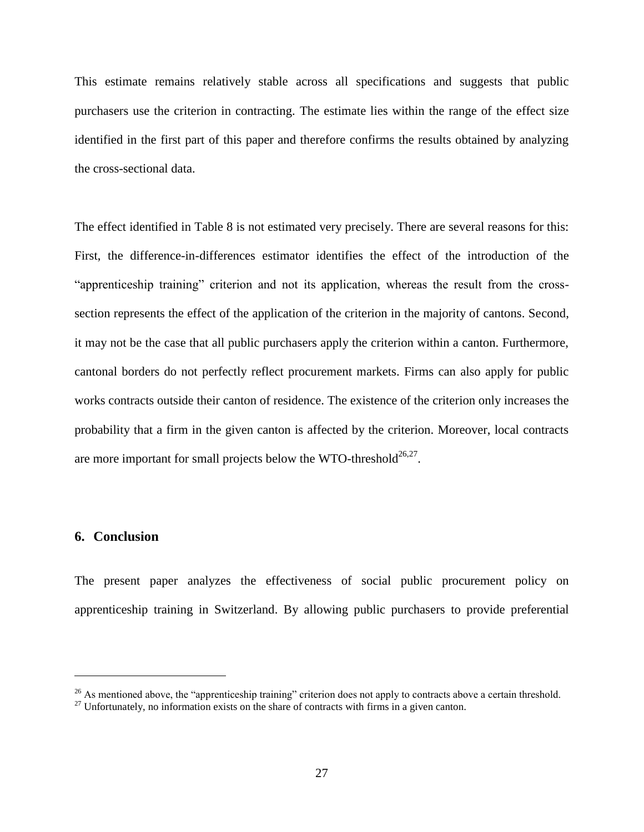This estimate remains relatively stable across all specifications and suggests that public purchasers use the criterion in contracting. The estimate lies within the range of the effect size identified in the first part of this paper and therefore confirms the results obtained by analyzing the cross-sectional data.

The effect identified in [Table 8](#page-27-0) is not estimated very precisely. There are several reasons for this: First, the difference-in-differences estimator identifies the effect of the introduction of the "apprenticeship training" criterion and not its application, whereas the result from the crosssection represents the effect of the application of the criterion in the majority of cantons. Second, it may not be the case that all public purchasers apply the criterion within a canton. Furthermore, cantonal borders do not perfectly reflect procurement markets. Firms can also apply for public works contracts outside their canton of residence. The existence of the criterion only increases the probability that a firm in the given canton is affected by the criterion. Moreover, local contracts are more important for small projects below the WTO-threshold $^{26,27}$ .

#### <span id="page-28-0"></span>**6. Conclusion**

<u>.</u>

The present paper analyzes the effectiveness of social public procurement policy on apprenticeship training in Switzerland. By allowing public purchasers to provide preferential

 $^{26}$  As mentioned above, the "apprenticeship training" criterion does not apply to contracts above a certain threshold. <sup>27</sup> Unfortunately, no information exists on the share of contracts with firms in a given canton.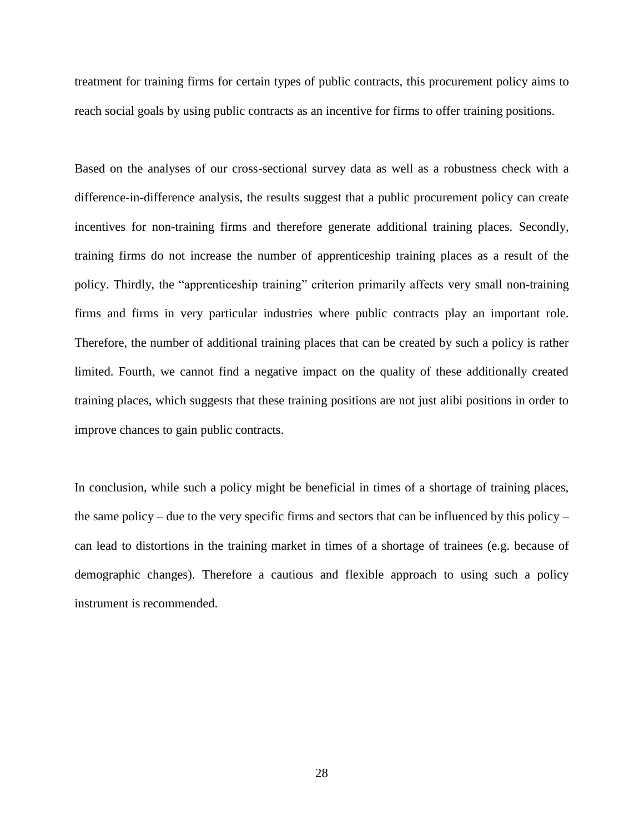treatment for training firms for certain types of public contracts, this procurement policy aims to reach social goals by using public contracts as an incentive for firms to offer training positions.

Based on the analyses of our cross-sectional survey data as well as a robustness check with a difference-in-difference analysis, the results suggest that a public procurement policy can create incentives for non-training firms and therefore generate additional training places. Secondly, training firms do not increase the number of apprenticeship training places as a result of the policy. Thirdly, the "apprenticeship training" criterion primarily affects very small non-training firms and firms in very particular industries where public contracts play an important role. Therefore, the number of additional training places that can be created by such a policy is rather limited. Fourth, we cannot find a negative impact on the quality of these additionally created training places, which suggests that these training positions are not just alibi positions in order to improve chances to gain public contracts.

In conclusion, while such a policy might be beneficial in times of a shortage of training places, the same policy – due to the very specific firms and sectors that can be influenced by this policy – can lead to distortions in the training market in times of a shortage of trainees (e.g. because of demographic changes). Therefore a cautious and flexible approach to using such a policy instrument is recommended.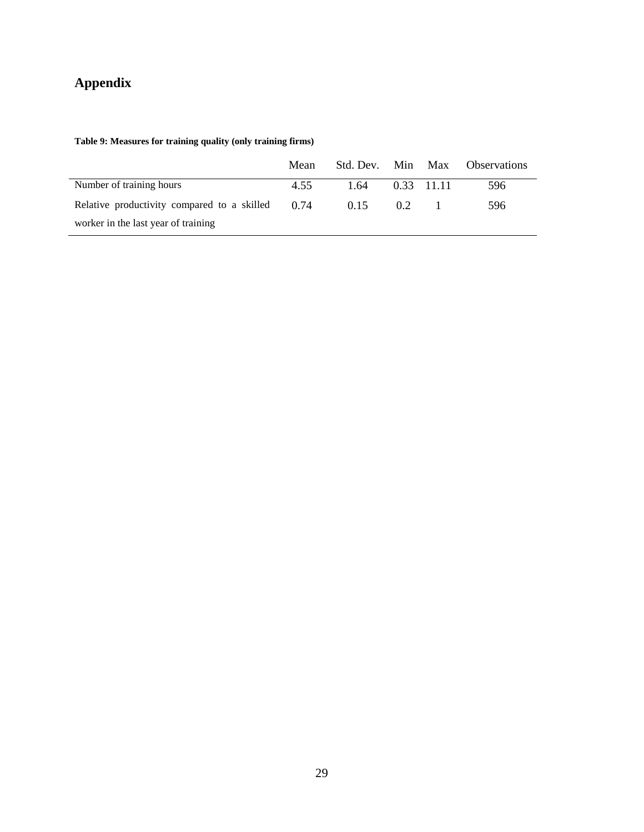# **Appendix**

|                                             | Mean | Std. Dev. Min Max |    |              | <b>Observations</b> |
|---------------------------------------------|------|-------------------|----|--------------|---------------------|
| Number of training hours                    | 4.55 | 1.64              |    | $0.33$ 11.11 | 596                 |
| Relative productivity compared to a skilled | 0.74 | 0.15              | 02 |              | 596                 |
| worker in the last year of training         |      |                   |    |              |                     |

#### <span id="page-30-0"></span>**Table 9: Measures for training quality (only training firms)**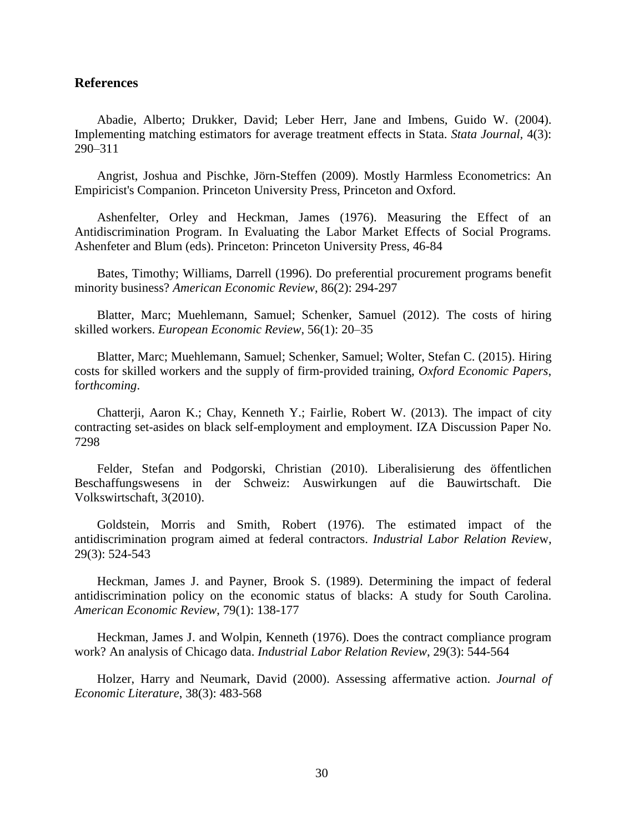#### **References**

Abadie, Alberto; Drukker, David; Leber Herr, Jane and Imbens, Guido W. (2004). Implementing matching estimators for average treatment effects in Stata. *Stata Journal,* 4(3): 290–311

Angrist, Joshua and Pischke, Jörn-Steffen (2009). Mostly Harmless Econometrics: An Empiricist's Companion. Princeton University Press, Princeton and Oxford.

Ashenfelter, Orley and Heckman, James (1976). Measuring the Effect of an Antidiscrimination Program. In Evaluating the Labor Market Effects of Social Programs. Ashenfeter and Blum (eds). Princeton: Princeton University Press, 46-84

Bates, Timothy; Williams, Darrell (1996). Do preferential procurement programs benefit minority business? *American Economic Review*, 86(2): 294-297

Blatter, Marc; Muehlemann, Samuel; Schenker, Samuel (2012). The costs of hiring skilled workers. *European Economic Review*, 56(1): 20–35

Blatter, Marc; Muehlemann, Samuel; Schenker, Samuel; Wolter, Stefan C. (2015). Hiring costs for skilled workers and the supply of firm-provided training, *Oxford Economic Papers*, f*orthcoming*.

Chatterji, Aaron K.; Chay, Kenneth Y.; Fairlie, Robert W. (2013). The impact of city contracting set-asides on black self-employment and employment. IZA Discussion Paper No. 7298

Felder, Stefan and Podgorski, Christian (2010). Liberalisierung des öffentlichen Beschaffungswesens in der Schweiz: Auswirkungen auf die Bauwirtschaft. Die Volkswirtschaft, 3(2010).

Goldstein, Morris and Smith, Robert (1976). The estimated impact of the antidiscrimination program aimed at federal contractors. *Industrial Labor Relation Revie*w, 29(3): 524-543

Heckman, James J. and Payner, Brook S. (1989). Determining the impact of federal antidiscrimination policy on the economic status of blacks: A study for South Carolina. *American Economic Review*, 79(1): 138-177

Heckman, James J. and Wolpin, Kenneth (1976). Does the contract compliance program work? An analysis of Chicago data. *Industrial Labor Relation Review*, 29(3): 544-564

Holzer, Harry and Neumark, David (2000). Assessing affermative action. *Journal of Economic Literature*, 38(3): 483-568